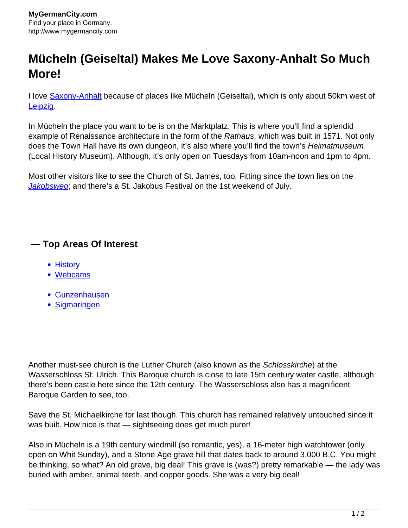## **Mücheln (Geiseltal) Makes Me Love Saxony-Anhalt So Much More!**

I love **Saxony-Anhalt** because of places like Mücheln (Geiseltal), which is only about 50km west of **Leipzig** 

In Mücheln the place you want to be is on the Marktplatz. This is where you'll find a splendid example of Renaissance architecture in the form of the Rathaus, which was built in 1571. Not only does the Town Hall have its own dungeon, it's also where you'll find the town's *Heimatmuseum* (Local History Museum). Although, it's only open on Tuesdays from 10am-noon and 1pm to 4pm.

Most other visitors like to see the Church of St. James, too. Fitting since the town lies on the [Jakobsweg](http://www.mygermancity.com/way-of-st-james); and there's a St. Jakobus Festival on the 1st weekend of July.

## **— Top Areas Of Interest**

- [History](http://www.mygermancity.com/leipzig-history)
- [Webcams](http://www.mygermancity.com/neustadt-holstein-webcams)
- [Gunzenhausen](http://www.mygermancity.com/gunzenhausen)
- [Sigmaringen](http://www.mygermancity.com/sigmaringen)

Another must-see church is the Luther Church (also known as the Schlosskirche) at the Wasserschloss St. Ulrich. This Baroque church is close to late 15th century water castle, although there's been castle here since the 12th century. The Wasserschloss also has a magnificent Baroque Garden to see, too.

Save the St. Michaelkirche for last though. This church has remained relatively untouched since it was built. How nice is that — sightseeing does get much purer!

Also in Mücheln is a 19th century windmill (so romantic, yes), a 16-meter high watchtower (only open on Whit Sunday), and a Stone Age grave hill that dates back to around 3,000 B.C. You might be thinking, so what? An old grave, big deal! This grave is (was?) pretty remarkable — the lady was buried with amber, animal teeth, and copper goods. She was a very big deal!